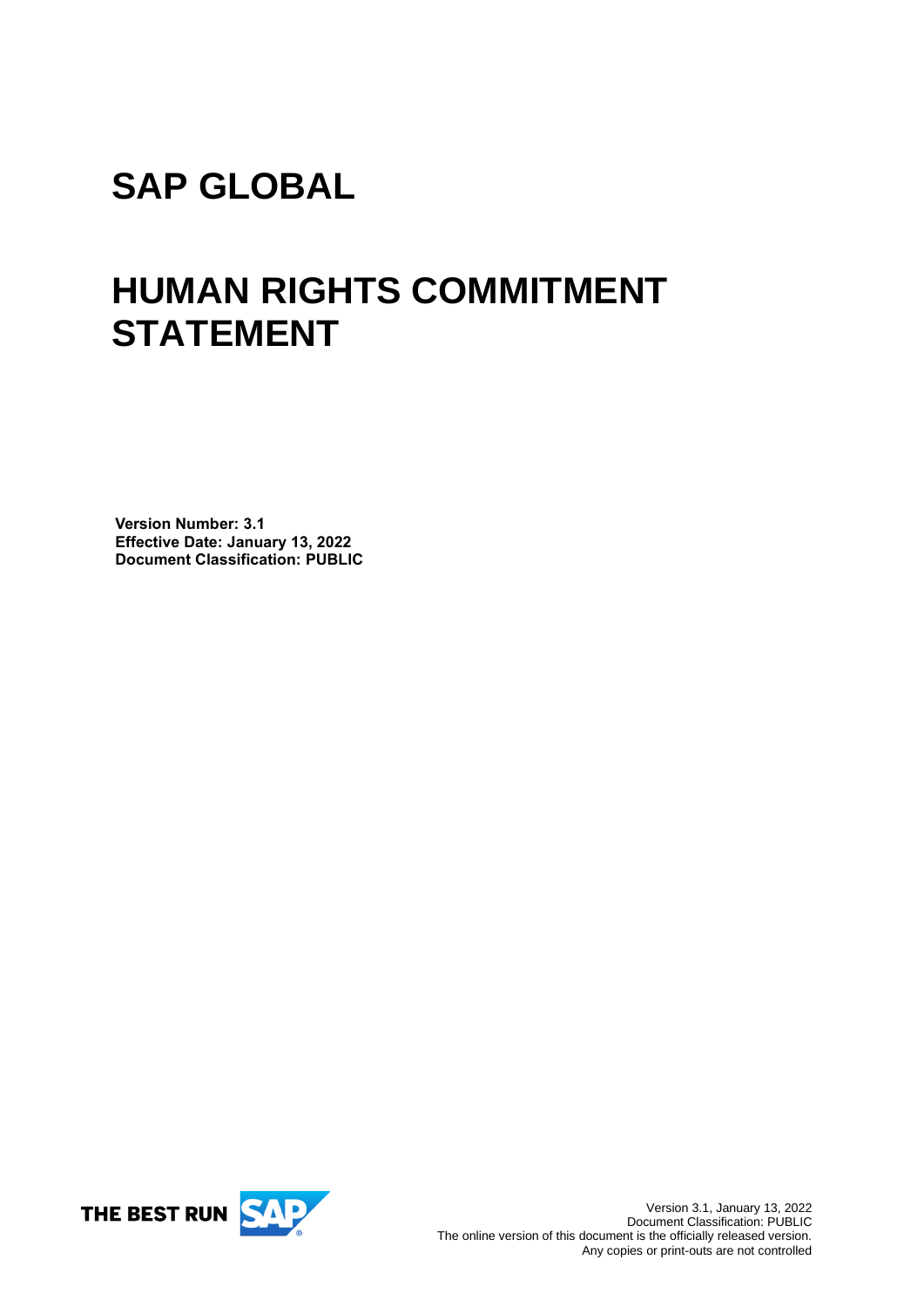# **SAP GLOBAL**

# **HUMAN RIGHTS COMMITMENT STATEMENT**

**Version Number: 3.1 Effective Date: January 13, 2022 Document Classification: PUBLIC**

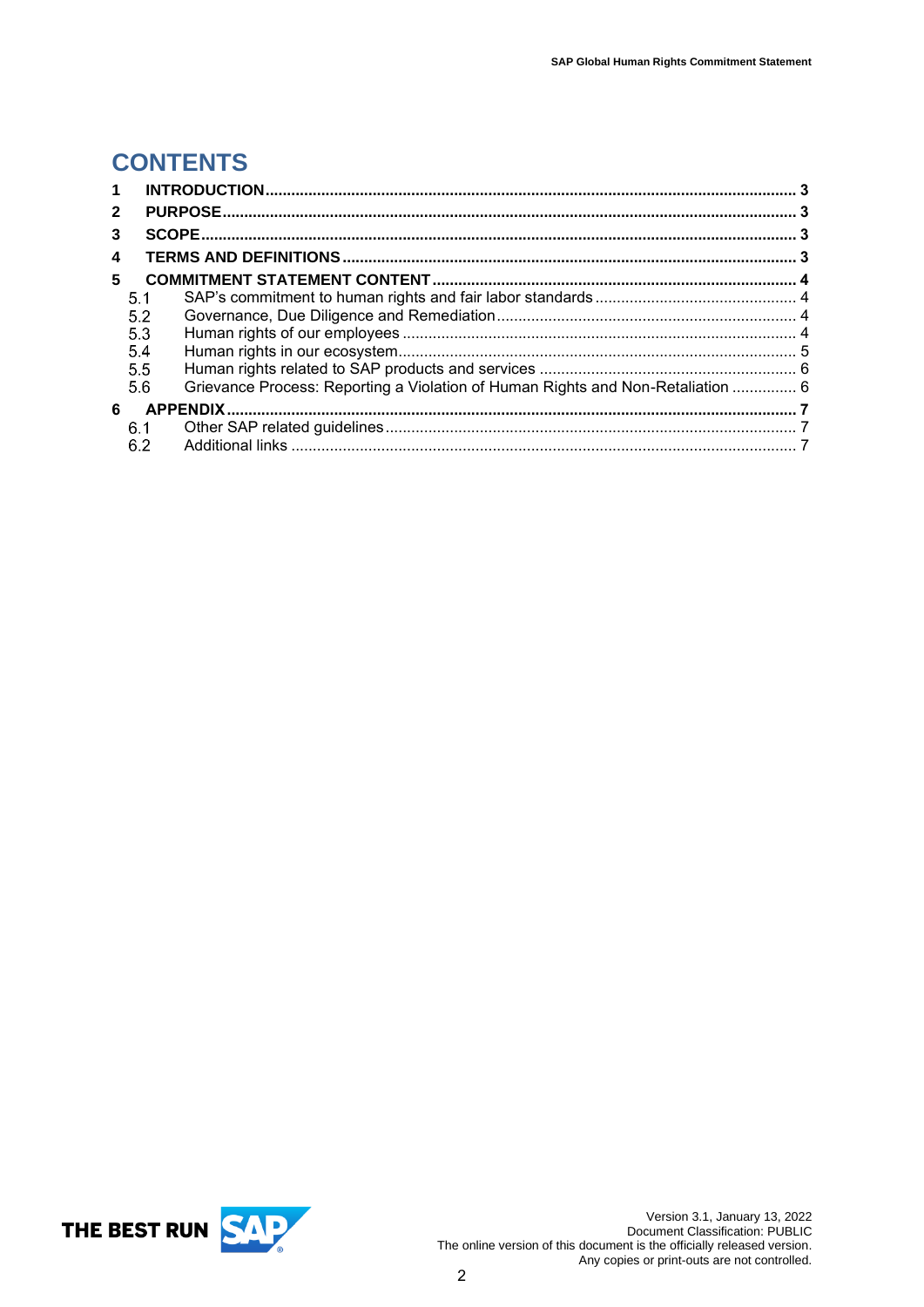# **CONTENTS**

| $\mathbf 1$  |     |                                                                                 |  |
|--------------|-----|---------------------------------------------------------------------------------|--|
| $\mathbf{2}$ |     |                                                                                 |  |
| 3            |     |                                                                                 |  |
| 4            |     |                                                                                 |  |
| 5            |     |                                                                                 |  |
|              | 5.1 |                                                                                 |  |
|              | 5.2 |                                                                                 |  |
|              | 5.3 |                                                                                 |  |
|              | 5.4 |                                                                                 |  |
|              | 5.5 |                                                                                 |  |
|              | 5.6 | Grievance Process: Reporting a Violation of Human Rights and Non-Retaliation  6 |  |
| 6            |     |                                                                                 |  |
|              | 6.1 |                                                                                 |  |
|              | 6.2 |                                                                                 |  |

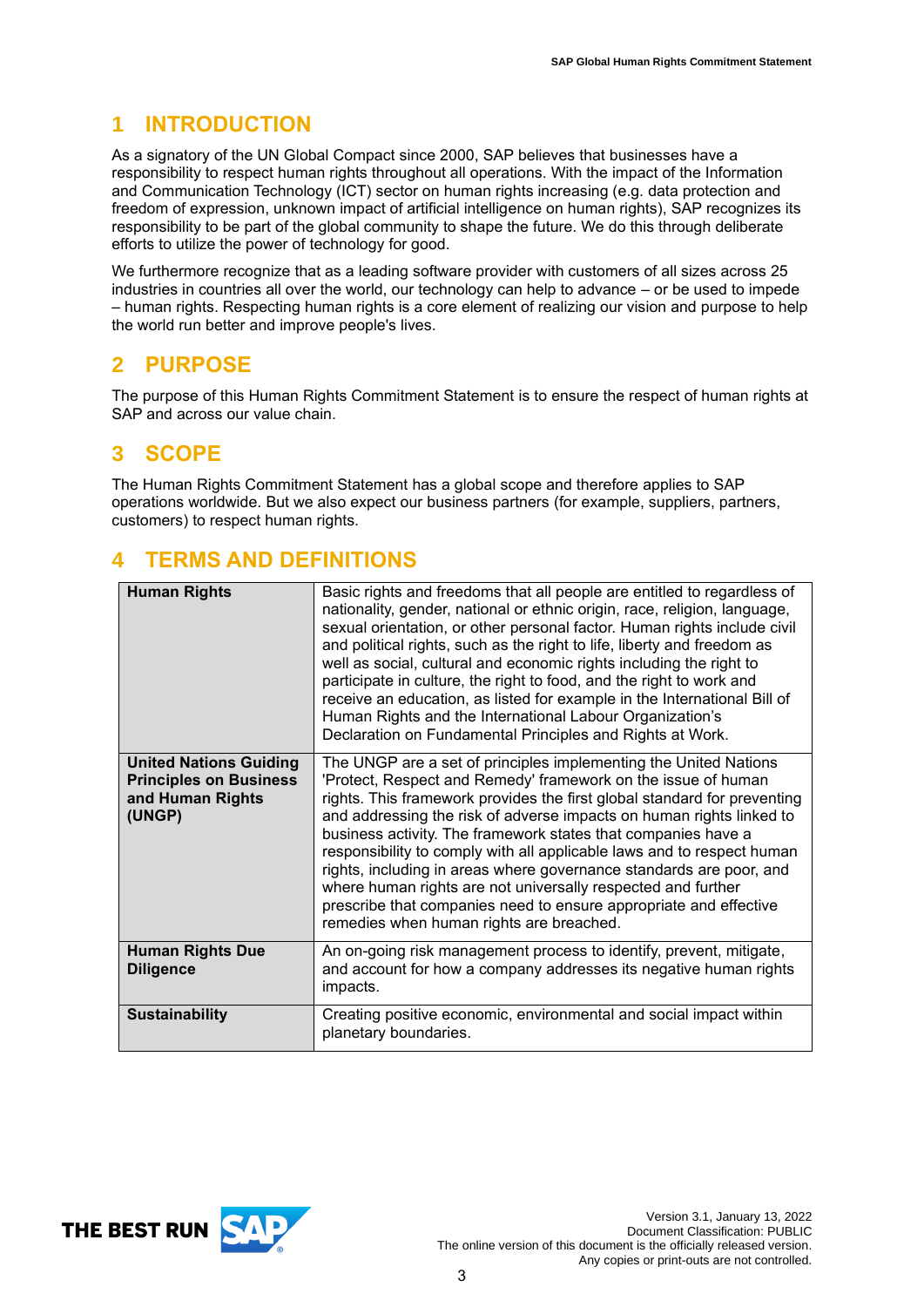## <span id="page-2-0"></span>**1 INTRODUCTION**

As a signatory of the UN Global Compact since 2000, SAP believes that businesses have a responsibility to respect human rights throughout all operations. With the impact of the Information and Communication Technology (ICT) sector on human rights increasing (e.g. data protection and freedom of expression, unknown impact of artificial intelligence on human rights), SAP recognizes its responsibility to be part of the global community to shape the future. We do this through deliberate efforts to utilize the power of technology for good.

We furthermore recognize that as a leading software provider with customers of all sizes across 25 industries in countries all over the world, our technology can help to advance – or be used to impede – human rights. Respecting human rights is a core element of realizing our vision and purpose to help the world run better and improve people's lives.

## <span id="page-2-1"></span>**2 PURPOSE**

The purpose of this Human Rights Commitment Statement is to ensure the respect of human rights at SAP and across our value chain.

### <span id="page-2-2"></span>**3 SCOPE**

The Human Rights Commitment Statement has a global scope and therefore applies to SAP operations worldwide. But we also expect our business partners (for example, suppliers, partners, customers) to respect human rights.

### <span id="page-2-3"></span>**4 TERMS AND DEFINITIONS**

| <b>Human Rights</b>                                                                          | Basic rights and freedoms that all people are entitled to regardless of<br>nationality, gender, national or ethnic origin, race, religion, language,<br>sexual orientation, or other personal factor. Human rights include civil<br>and political rights, such as the right to life, liberty and freedom as<br>well as social, cultural and economic rights including the right to<br>participate in culture, the right to food, and the right to work and<br>receive an education, as listed for example in the International Bill of<br>Human Rights and the International Labour Organization's<br>Declaration on Fundamental Principles and Rights at Work.                          |
|----------------------------------------------------------------------------------------------|------------------------------------------------------------------------------------------------------------------------------------------------------------------------------------------------------------------------------------------------------------------------------------------------------------------------------------------------------------------------------------------------------------------------------------------------------------------------------------------------------------------------------------------------------------------------------------------------------------------------------------------------------------------------------------------|
| <b>United Nations Guiding</b><br><b>Principles on Business</b><br>and Human Rights<br>(UNGP) | The UNGP are a set of principles implementing the United Nations<br>'Protect, Respect and Remedy' framework on the issue of human<br>rights. This framework provides the first global standard for preventing<br>and addressing the risk of adverse impacts on human rights linked to<br>business activity. The framework states that companies have a<br>responsibility to comply with all applicable laws and to respect human<br>rights, including in areas where governance standards are poor, and<br>where human rights are not universally respected and further<br>prescribe that companies need to ensure appropriate and effective<br>remedies when human rights are breached. |
| <b>Human Rights Due</b><br><b>Diligence</b>                                                  | An on-going risk management process to identify, prevent, mitigate,<br>and account for how a company addresses its negative human rights<br>impacts.                                                                                                                                                                                                                                                                                                                                                                                                                                                                                                                                     |
| <b>Sustainability</b>                                                                        | Creating positive economic, environmental and social impact within<br>planetary boundaries.                                                                                                                                                                                                                                                                                                                                                                                                                                                                                                                                                                                              |

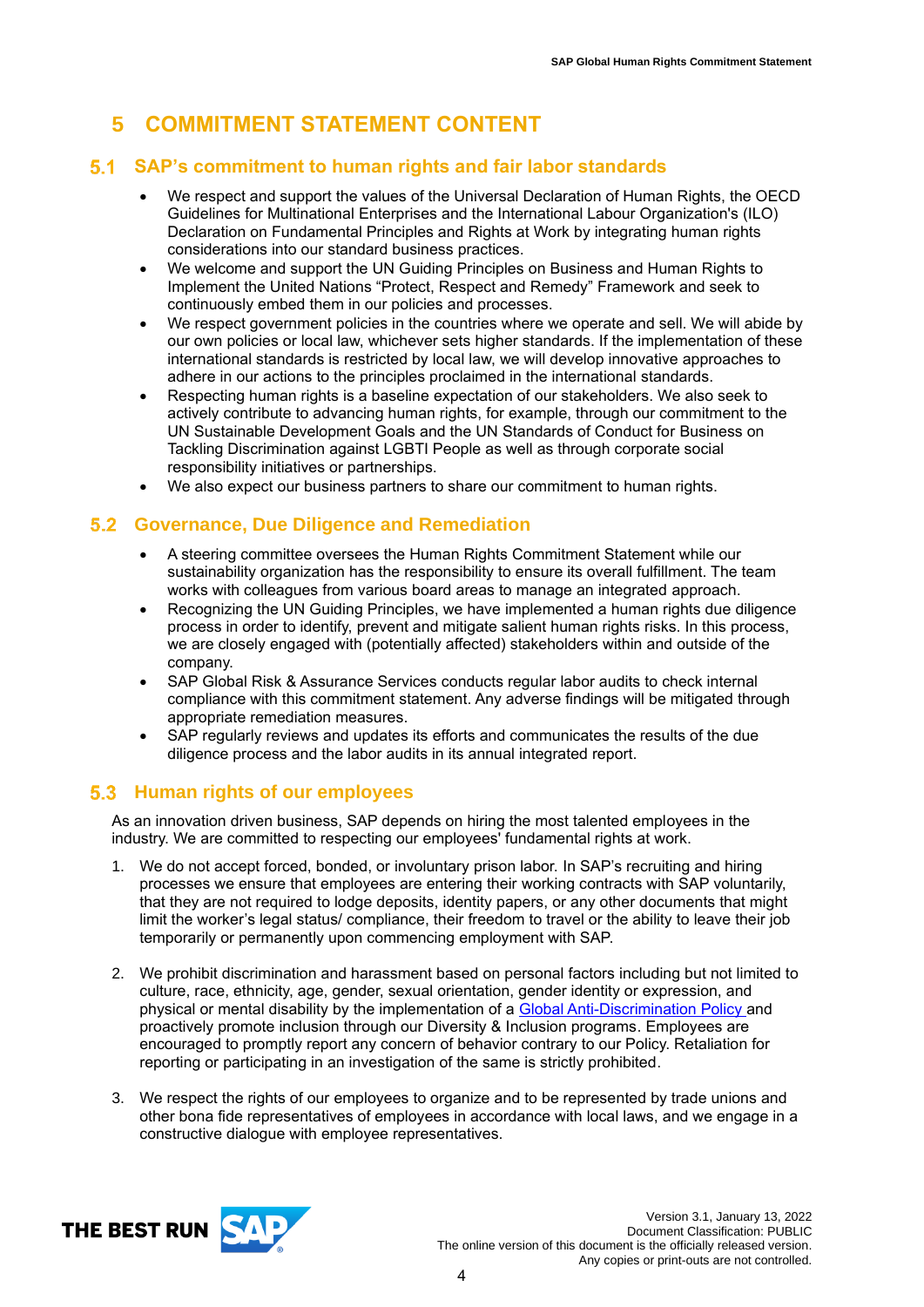# <span id="page-3-0"></span>**5 COMMITMENT STATEMENT CONTENT**

### <span id="page-3-1"></span>**SAP's commitment to human rights and fair labor standards**

- We respect and support the values of the Universal Declaration of Human Rights, the OECD Guidelines for Multinational Enterprises and the International Labour Organization's (ILO) Declaration on Fundamental Principles and Rights at Work by integrating human rights considerations into our standard business practices.
- We welcome and support the UN Guiding Principles on Business and Human Rights to Implement the United Nations "Protect, Respect and Remedy" Framework and seek to continuously embed them in our policies and processes.
- We respect government policies in the countries where we operate and sell. We will abide by our own policies or local law, whichever sets higher standards. If the implementation of these international standards is restricted by local law, we will develop innovative approaches to adhere in our actions to the principles proclaimed in the international standards.
- Respecting human rights is a baseline expectation of our stakeholders. We also seek to actively contribute to advancing human rights, for example, through our commitment to the UN Sustainable Development Goals and the UN Standards of Conduct for Business on Tackling Discrimination against LGBTI People as well as through corporate social responsibility initiatives or partnerships.
- We also expect our business partners to share our commitment to human rights.

## <span id="page-3-2"></span>**Governance, Due Diligence and Remediation**

- A steering committee oversees the Human Rights Commitment Statement while our sustainability organization has the responsibility to ensure its overall fulfillment. The team works with colleagues from various board areas to manage an integrated approach.
- Recognizing the UN Guiding Principles, we have implemented a human rights due diligence process in order to identify, prevent and mitigate salient human rights risks. In this process, we are closely engaged with (potentially affected) stakeholders within and outside of the company.
- SAP Global Risk & Assurance Services conducts regular labor audits to check internal compliance with this commitment statement. Any adverse findings will be mitigated through appropriate remediation measures.
- SAP regularly reviews and updates its efforts and communicates the results of the due diligence process and the labor audits in its annual integrated report.

#### <span id="page-3-3"></span>**Human rights of our employees**

As an innovation driven business, SAP depends on hiring the most talented employees in the industry. We are committed to respecting our employees' fundamental rights at work.

- 1. We do not accept forced, bonded, or involuntary prison labor. In SAP's recruiting and hiring processes we ensure that employees are entering their working contracts with SAP voluntarily, that they are not required to lodge deposits, identity papers, or any other documents that might limit the worker's legal status/ compliance, their freedom to travel or the ability to leave their job temporarily or permanently upon commencing employment with SAP.
- 2. We prohibit discrimination and harassment based on personal factors including but not limited to culture, race, ethnicity, age, gender, sexual orientation, gender identity or expression, and physical or mental disability by the implementation of a [Global Anti-Discrimination Policy](https://www.sap.com/documents/2018/04/643f05de-fb7c-0010-87a3-c30de2ffd8ff.html) and proactively promote inclusion through our Diversity & Inclusion programs. Employees are encouraged to promptly report any concern of behavior contrary to our Policy. Retaliation for reporting or participating in an investigation of the same is strictly prohibited.
- 3. We respect the rights of our employees to organize and to be represented by trade unions and other bona fide representatives of employees in accordance with local laws, and we engage in a constructive dialogue with employee representatives.

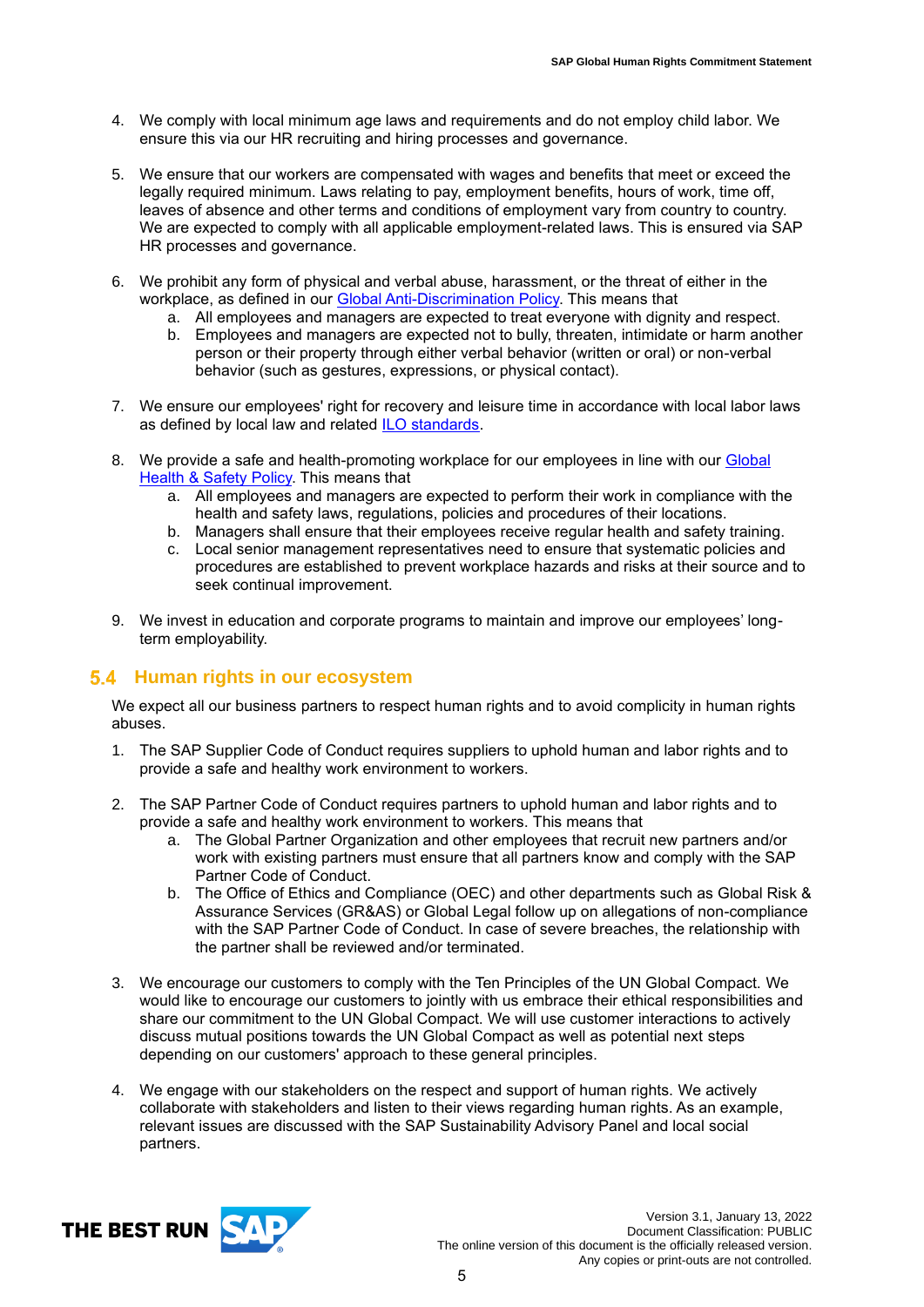- 4. We comply with local minimum age laws and requirements and do not employ child labor. We ensure this via our HR recruiting and hiring processes and governance.
- 5. We ensure that our workers are compensated with wages and benefits that meet or exceed the legally required minimum. Laws relating to pay, employment benefits, hours of work, time off, leaves of absence and other terms and conditions of employment vary from country to country. We are expected to comply with all applicable employment-related laws. This is ensured via SAP HR processes and governance.
- 6. We prohibit any form of physical and verbal abuse, harassment, or the threat of either in the workplace, as defined in our [Global Anti-Discrimination Policy.](https://www.sap.com/documents/2018/04/643f05de-fb7c-0010-87a3-c30de2ffd8ff.html) This means that
	- a. All employees and managers are expected to treat everyone with dignity and respect. b. Employees and managers are expected not to bully, threaten, intimidate or harm another
	- person or their property through either verbal behavior (written or oral) or non-verbal behavior (such as gestures, expressions, or physical contact).
- 7. We ensure our employees' right for recovery and leisure time in accordance with local labor laws as defined by local law and related [ILO standards.](http://ilo.org/global/standards/subjects-covered-by-international-labour-standards/working-time/lang--en/index.htm)
- 8. We provide a safe and health-promoting workplace for our employees in line with our Global [Health & Safety Policy.](https://assets.cdn.sap.com/sapcom/docs/2016/06/5c35e881-787c-0010-82c7-eda71af511fa.pdf) This means that
	- a. All employees and managers are expected to perform their work in compliance with the health and safety laws, regulations, policies and procedures of their locations.
	- b. Managers shall ensure that their employees receive regular health and safety training.
	- c. Local senior management representatives need to ensure that systematic policies and procedures are established to prevent workplace hazards and risks at their source and to seek continual improvement.
- 9. We invest in education and corporate programs to maintain and improve our employees' longterm employability.

#### <span id="page-4-0"></span>**5.4 Human rights in our ecosystem**

We expect all our business partners to respect human rights and to avoid complicity in human rights abuses.

- 1. The SAP Supplier Code of Conduct requires suppliers to uphold human and labor rights and to provide a safe and healthy work environment to workers.
- 2. The SAP Partner Code of Conduct requires partners to uphold human and labor rights and to provide a safe and healthy work environment to workers. This means that
	- a. The Global Partner Organization and other employees that recruit new partners and/or work with existing partners must ensure that all partners know and comply with the SAP Partner Code of Conduct.
	- b. The Office of Ethics and Compliance (OEC) and other departments such as Global Risk & Assurance Services (GR&AS) or Global Legal follow up on allegations of non-compliance with the SAP Partner Code of Conduct. In case of severe breaches, the relationship with the partner shall be reviewed and/or terminated.
- 3. We encourage our customers to comply with the Ten Principles of the UN Global Compact. We would like to encourage our customers to jointly with us embrace their ethical responsibilities and share our commitment to the UN Global Compact. We will use customer interactions to actively discuss mutual positions towards the UN Global Compact as well as potential next steps depending on our customers' approach to these general principles.
- 4. We engage with our stakeholders on the respect and support of human rights. We actively collaborate with stakeholders and listen to their views regarding human rights. As an example, relevant issues are discussed with the SAP Sustainability Advisory Panel and local social partners.

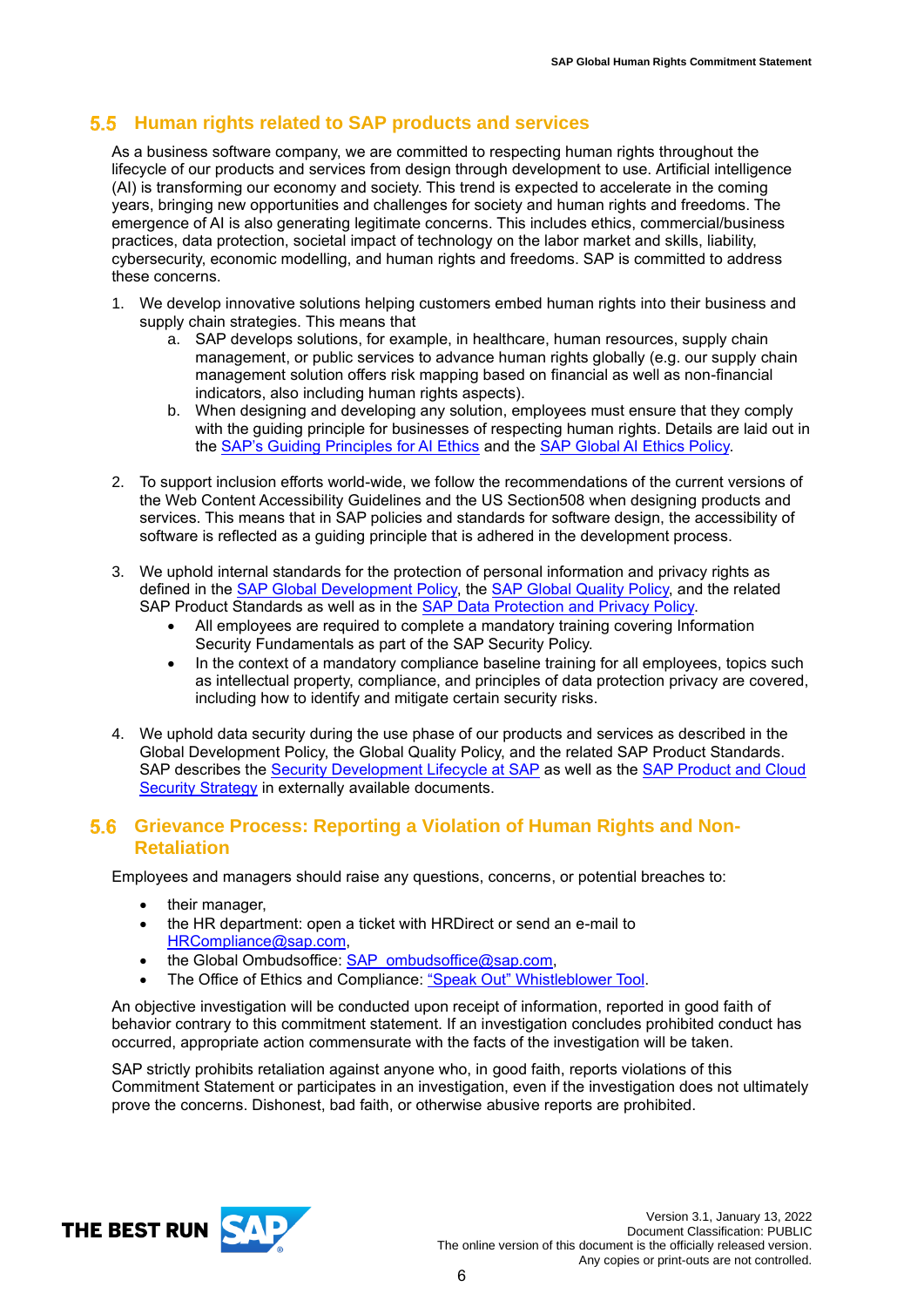### <span id="page-5-0"></span>**Human rights related to SAP products and services**

As a business software company, we are committed to respecting human rights throughout the lifecycle of our products and services from design through development to use. Artificial intelligence (AI) is transforming our economy and society. This trend is expected to accelerate in the coming years, bringing new opportunities and challenges for society and human rights and freedoms. The emergence of AI is also generating legitimate concerns. This includes ethics, commercial/business practices, data protection, societal impact of technology on the labor market and skills, liability, cybersecurity, economic modelling, and human rights and freedoms. SAP is committed to address these concerns.

- 1. We develop innovative solutions helping customers embed human rights into their business and supply chain strategies. This means that
	- a. SAP develops solutions, for example, in healthcare, human resources, supply chain management, or public services to advance human rights globally (e.g. our supply chain management solution offers risk mapping based on financial as well as non-financial indicators, also including human rights aspects).
	- b. When designing and developing any solution, employees must ensure that they comply with the guiding principle for businesses of respecting human rights. Details are laid out in the [SAP's Guiding Principles for AI Ethics](https://www.sap.com/products/artificial-intelligence/ai-ethics.html) and the SAP Global [AI Ethics Policy.](https://one.int.sap/company/policies_and_guidelines/hr_and_sustainability#2d247bae-48d8-491c-9ed4-d38a319d6293_d0a8/sap_global_artificial_intelligence__ai__ethics_policy_)
- 2. To support inclusion efforts world-wide, we follow the recommendations of the current versions of the Web Content Accessibility Guidelines and the US Section508 when designing products and services. This means that in SAP policies and standards for software design, the accessibility of software is reflected as a guiding principle that is adhered in the development process.
- 3. We uphold internal standards for the protection of personal information and privacy rights as defined in the **SAP Global Development Policy**, the **SAP Global Quality Policy**, and the related SAP Product Standards as well as in the [SAP Data Protection and Privacy Policy.](https://sap.sharepoint.com/sites/115542/DPP_released/Documents/Forms/PDF%20DPP%20Documents%20View.aspx?id=%2Fsites%2F115542%2FDPP%5Freleased%2FDocuments%2FSAP%5FGlobal%5FData%5FProtection%5Fand%5FPrivacy%5FPolicy%5FPublic%5FEN%2Epdf&parent=%2Fsites%2F115542%2FDPP%5Freleased%2FDocuments)
	- All employees are required to complete a mandatory training covering Information Security Fundamentals as part of the SAP Security Policy.
	- In the context of a mandatory compliance baseline training for all employees, topics such as intellectual property, compliance, and principles of data protection privacy are covered, including how to identify and mitigate certain security risks.
- 4. We uphold data security during the use phase of our products and services as described in the Global Development Policy, the Global Quality Policy, and the related SAP Product Standards. SAP describes the [Security Development Lifecycle at SAP](https://www.sap.com/documents/2016/03/a248a699-627c-0010-82c7-eda71af511fa.html) as well as the SAP Product and Cloud [Security Strategy](https://www.sap.com/about/trust-center/security.html) in externally available documents.

#### <span id="page-5-1"></span>**Grievance Process: Reporting a Violation of Human Rights and Non-Retaliation**

Employees and managers should raise any questions, concerns, or potential breaches to:

- their manager,
- the HR department: open a ticket with HRDirect or send an e-mail to [HRCompliance@sap.com,](mailto:HRCompliance@sap.com)
- the Global Ombudsoffice: **SAP\_ombudsoffice@sap.com,**
- The Office of Ethics and Compliance: ["Speak Out" Whistleblower Tool.](https://app.convercent.com/en-us/LandingPage/c11fcf9e-a052-ea11-a972-000d3ab9f062?_=1616097379987)

An objective investigation will be conducted upon receipt of information, reported in good faith of behavior contrary to this commitment statement. If an investigation concludes prohibited conduct has occurred, appropriate action commensurate with the facts of the investigation will be taken.

SAP strictly prohibits retaliation against anyone who, in good faith, reports violations of this Commitment Statement or participates in an investigation, even if the investigation does not ultimately prove the concerns. Dishonest, bad faith, or otherwise abusive reports are prohibited.